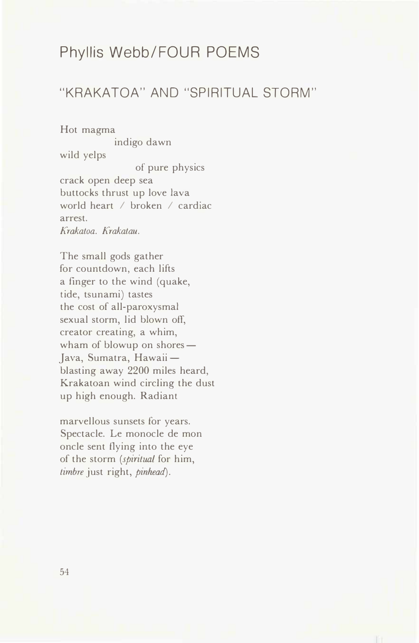# Phyllis Webb/FOUR POEMS

## "KRAKATOA" AND "SPIRITUAL STORM"

Hot magma indigo dawn wild yelps of pure physics crack open deep sea buttocks thrust up love lava world heart / broken / cardiac arrest. *Krakatoa. Krakatau.* 

The small gods gather for countdown, each lifts a finger to the wind (quake, tide, tsunami) tastes the cost of all-paroxysmal sexual storm, lid blown off, creator creating, a whim, wham of blowup on shores $-$ Java, Sumatra, Hawaiiblasting away 2200 miles heard, Krakatoan wind circling the dust up high enough. Radiant

marvellous sunsets for years. Spectacle. Le monocle de mon oncle sent flying into the eye of the storm *(spiritual* for him, *timbre* just right, *pinhead).*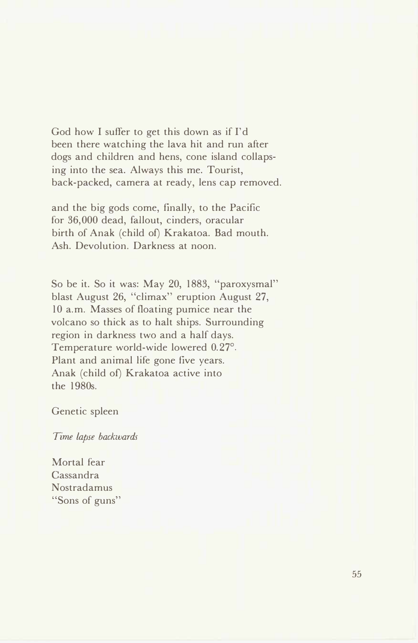God how I suffer to get this down as if I'd been there watching the lava hit and run after dogs and children and hens, cone island collapsing into the sea. Always this me. Tourist, back-packed, camera at ready, lens cap removed.

and the big gods come, finally, to the Pacific for 36,000 dead, fallout, cinders, oracular birth of Anak (child of) Krakatoa. Bad mouth. Ash. Devolution. Darkness at noon.

So be it. So it was: May 20, 1883, "paroxysmal" blast August 26, "climax" eruption August 27, 10 a.m. Masses of floating pumice near the volcano so thick as to halt ships. Surrounding region in darkness two and a half days. Temperature world-wide lowered 0.27° . Plant and animal life gone five years. Anak (child of) Krakatoa active into the 1980s.

#### Genetic spleen

*Time lapse backwards* 

Mortal fear Cassandra Nostradamus "Sons of guns"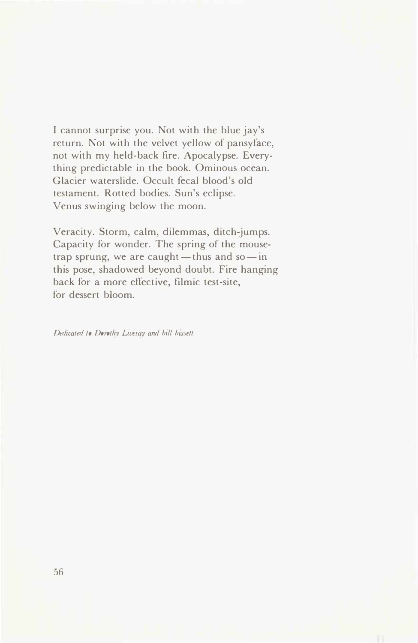I cannot surprise you. Not with the blue jay's return. Not with the velvet yellow of pansyface, not with my held-back fire. Apocalypse. Everything predictable in the book. Ominous ocean. Glacier waterslide. Occult fecal blood's old testament. Rotted bodies. Sun's eclipse. Venus swinging below the moon.

Veracity. Storm, calm, dilemmas, ditch-jumps. Capacity for wonder. The spring of the mousetrap sprung, we are caught - thus and so - in this pose, shadowed beyond doubt. Fire hanging back for a more effective, filmic test-site, for dessert bloom.

*Dedicated lo Dorothy Livesay and bill bissetl*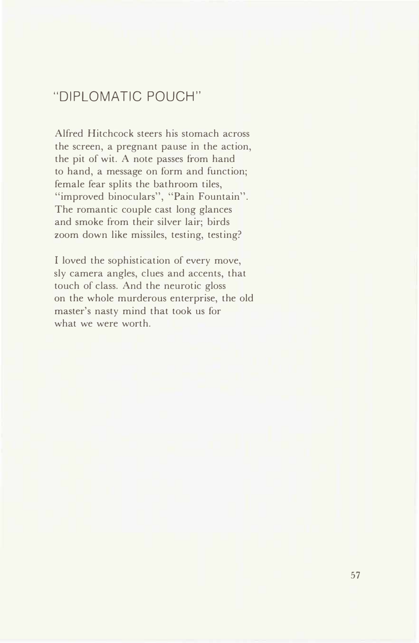## "DIPLOMATIC POUCH"

Alfred Hitchcock steers his stomach across the screen, a pregnant pause in the action, the pit of wit. A note passes from hand to hand, a message on form and function; female fear splits the bathroom tiles, "improved binoculars", "Pain Fountain". The romantic couple cast long glances and smoke from their silver lair; birds zoom down like missiles, testing, testing?

I loved the sophistication of every move, sly camera angles, clues and accents, that touch of class. And the neurotic gloss on the whole murderous enterprise, the old master's nasty mind that took us for what we were worth.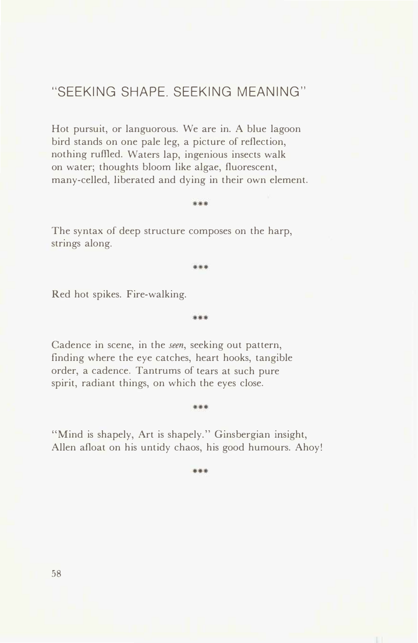### "SEEKING SHAPE. SEEKING MEANING"

Hot pursuit, or languorous. We are in. A blue lagoon bird stands on one pale leg, a picture of reflection, nothing ruffied. Waters lap, ingenious insects walk on water; thoughts bloom like algae, fluorescent, many-celled, liberated and dying in their own element.

The syntax of deep structure composes on the harp, strings along.

\*\*\*

\*\*\*

\*\*\*

Red hot spikes. Fire-walking.

Cadence in scene, in the *seen,* seeking out pattern, finding where the eye catches, heart hooks, tangible order, a cadence. Tantrums of tears at such pure spirit, radiant things, on which the eyes close.

#### \*\*\*

"Mind is shapely, Art is shapely." Ginsbergian insight, Allen afloat on his untidy chaos, his good humours. Ahoy!

\*\*\*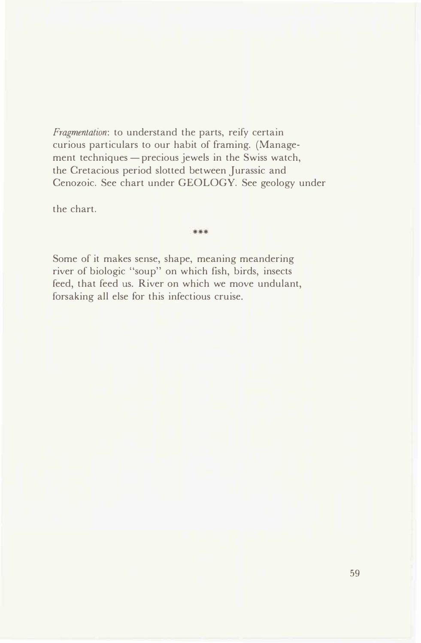*Fragmenlation:* to understand the parts, reify certain curious particulars to our habit of framing. (Management techniques - precious jewels in the Swiss watch, the Cretacious period slotted between Jurassic and Cenozoic. See chart under GEOLOGY. See geology under

the chart.

\*\*\*

Some of it makes sense, shape, meaning meandering river of biologic "soup" on which fish, birds, insects feed, that feed us. River on which we move undulant, forsaking all else for this infectious cruise.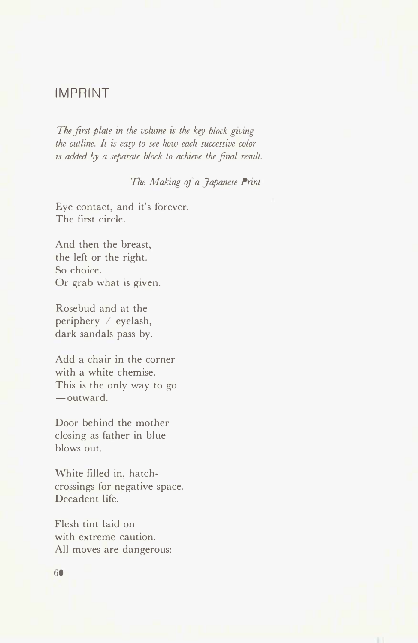### **IMPRINT**

*The first plate in the volume is the key block giving the outline. It is easy to see how each successive color is added by a separate block to achieve the final result.* 

*The Making of a Japanese Print* 

Eye contact, and it's forever. The first circle.

And then the breast, the left or the right. So choice. Or grab what is given.

Rosebud and at the periphery / eyelash, dark sandals pass by.

Add a chair in the corner with a white chemise. This is the only way to go  $-$ outward.

Door behind the mother closing as father in blue blows out.

White filled in, hatchcrossings for negative space. Decadent life.

Flesh tint laid on with extreme caution. All moves are dangerous: